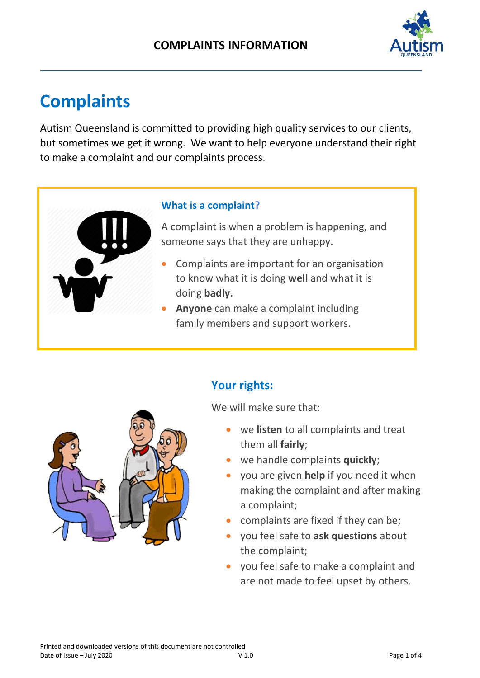

# **Complaints**

Autism Queensland is committed to providing high quality services to our clients, but sometimes we get it wrong. We want to help everyone understand their right to make a complaint and our complaints process.

#### **What is a complaint?**

A complaint is when a problem is happening, and someone says that they are unhappy.

- Complaints are important for an organisation to know what it is doing **well** and what it is doing **badly.**
- **Anyone** can make a complaint including family members and support workers.



### **Your rights:**

We will make sure that:

- we **listen** to all complaints and treat them all **fairly**;
- we handle complaints **quickly**;
- you are given **help** if you need it when making the complaint and after making a complaint;
- complaints are fixed if they can be;
- you feel safe to **ask questions** about the complaint;
- you feel safe to make a complaint and are not made to feel upset by others.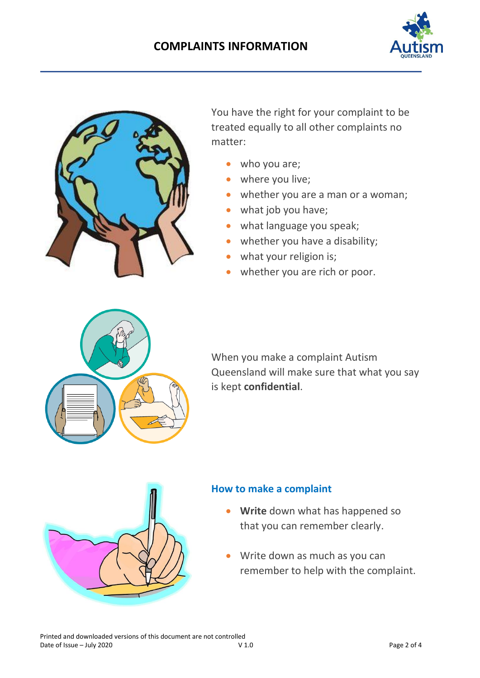



You have the right for your complaint to be treated equally to all other complaints no matter:

- who you are;
- where you live;
- whether you are a man or a woman;
- what job you have;
- what language you speak;
- whether you have a disability;
- what your religion is;
- whether you are rich or poor.



When you make a complaint Autism Queensland will make sure that what you say is kept **confidential**.



#### **How to make a complaint**

- **Write** down what has happened so that you can remember clearly.
- Write down as much as you can remember to help with the complaint.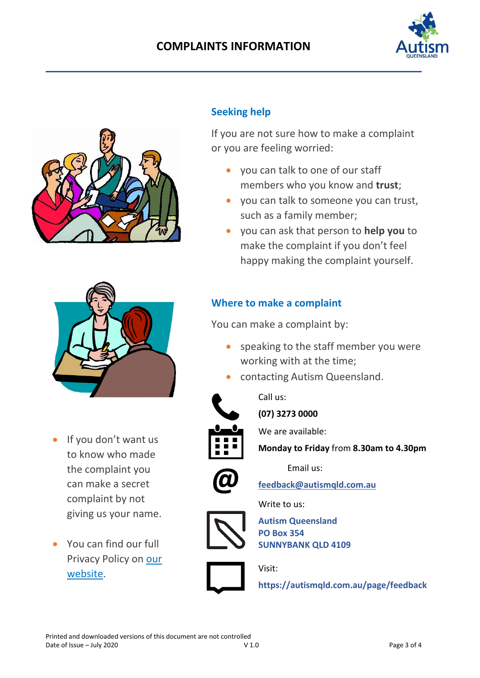#### **COMPLAINTS INFORMATION**





#### **Seeking help**

If you are not sure how to make a complaint or you are feeling worried:

- you can talk to one of our staff members who you know and **trust**;
- you can talk to someone you can trust, such as a family member;
- you can ask that person to **help you** to make the complaint if you don't feel happy making the complaint yourself.

## **Where to make a complaint** You can make a complaint by:

- speaking to the staff member you were working with at the time;
- contacting Autism Queensland.



Call us:

**(07) 3273 0000**

We are available:



**Monday to Friday** from **8.30am to 4.30pm**

Email us:

**[feedback@autismqld.com.au](mailto:feedback@autismqld.com.au)**

Write to us:



**@**

**Autism Queensland PO Box 354 SUNNYBANK QLD 4109**



Visit:

**<https://autismqld.com.au/page/feedback>**

- If you don't want us to know who made the complaint you can make a secret complaint by not
	- giving us your name.
- You can find our full Privacy Policy on [our](https://autismqld.com.au/page/policies-procedures)  [website.](https://autismqld.com.au/page/policies-procedures)